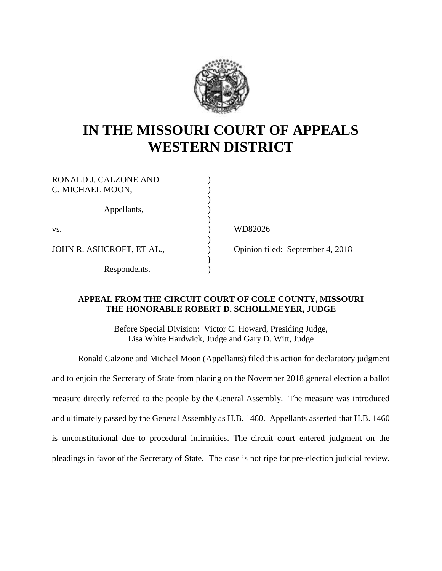

## **IN THE MISSOURI COURT OF APPEALS WESTERN DISTRICT**

| RONALD J. CALZONE AND<br>C. MICHAEL MOON, |  |
|-------------------------------------------|--|
| Appellants,                               |  |
| VS.                                       |  |
| JOHN R. ASHCROFT, ET AL.,                 |  |
| Respondents.                              |  |

WD82026

Opinion filed: September 4, 2018

## **APPEAL FROM THE CIRCUIT COURT OF COLE COUNTY, MISSOURI THE HONORABLE ROBERT D. SCHOLLMEYER, JUDGE**

Before Special Division: Victor C. Howard, Presiding Judge, Lisa White Hardwick, Judge and Gary D. Witt, Judge

Ronald Calzone and Michael Moon (Appellants) filed this action for declaratory judgment and to enjoin the Secretary of State from placing on the November 2018 general election a ballot measure directly referred to the people by the General Assembly. The measure was introduced and ultimately passed by the General Assembly as H.B. 1460. Appellants asserted that H.B. 1460 is unconstitutional due to procedural infirmities. The circuit court entered judgment on the pleadings in favor of the Secretary of State. The case is not ripe for pre-election judicial review.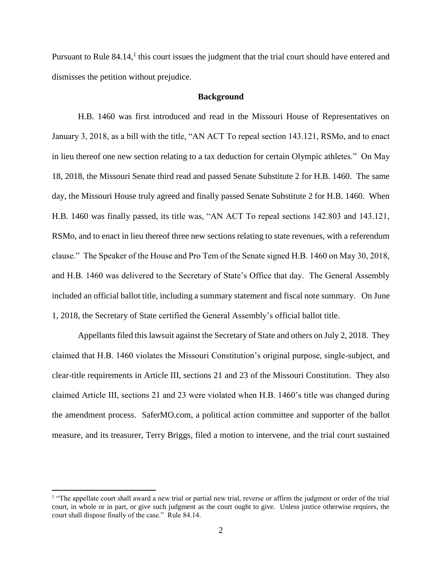Pursuant to Rule 84.14,<sup>1</sup> this court issues the judgment that the trial court should have entered and dismisses the petition without prejudice.

## **Background**

H.B. 1460 was first introduced and read in the Missouri House of Representatives on January 3, 2018, as a bill with the title, "AN ACT To repeal section 143.121, RSMo, and to enact in lieu thereof one new section relating to a tax deduction for certain Olympic athletes." On May 18, 2018, the Missouri Senate third read and passed Senate Substitute 2 for H.B. 1460. The same day, the Missouri House truly agreed and finally passed Senate Substitute 2 for H.B. 1460. When H.B. 1460 was finally passed, its title was, "AN ACT To repeal sections 142.803 and 143.121, RSMo, and to enact in lieu thereof three new sections relating to state revenues, with a referendum clause." The Speaker of the House and Pro Tem of the Senate signed H.B. 1460 on May 30, 2018, and H.B. 1460 was delivered to the Secretary of State's Office that day. The General Assembly included an official ballot title, including a summary statement and fiscal note summary. On June 1, 2018, the Secretary of State certified the General Assembly's official ballot title.

Appellants filed this lawsuit against the Secretary of State and others on July 2, 2018. They claimed that H.B. 1460 violates the Missouri Constitution's original purpose, single-subject, and clear-title requirements in Article III, sections 21 and 23 of the Missouri Constitution. They also claimed Article III, sections 21 and 23 were violated when H.B. 1460's title was changed during the amendment process. SaferMO.com, a political action committee and supporter of the ballot measure, and its treasurer, Terry Briggs, filed a motion to intervene, and the trial court sustained

 $\overline{a}$ 

<sup>&</sup>lt;sup>1</sup> "The appellate court shall award a new trial or partial new trial, reverse or affirm the judgment or order of the trial court, in whole or in part, or give such judgment as the court ought to give. Unless justice otherwise requires, the court shall dispose finally of the case." Rule 84.14.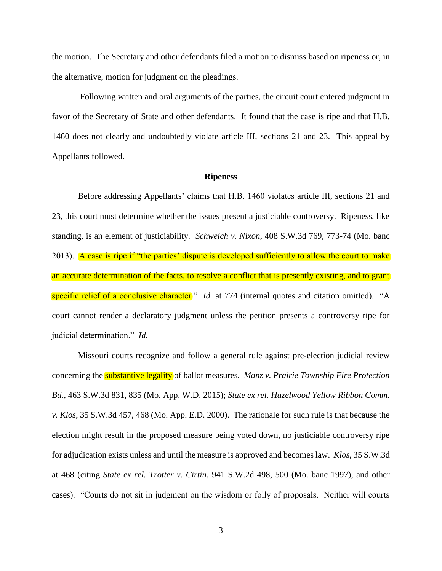the motion. The Secretary and other defendants filed a motion to dismiss based on ripeness or, in the alternative, motion for judgment on the pleadings.

Following written and oral arguments of the parties, the circuit court entered judgment in favor of the Secretary of State and other defendants. It found that the case is ripe and that H.B. 1460 does not clearly and undoubtedly violate article III, sections 21 and 23. This appeal by Appellants followed.

## **Ripeness**

Before addressing Appellants' claims that H.B. 1460 violates article III, sections 21 and 23, this court must determine whether the issues present a justiciable controversy. Ripeness, like standing, is an element of justiciability. *Schweich v. Nixon*, 408 S.W.3d 769, 773-74 (Mo. banc 2013). A case is ripe if "the parties' dispute is developed sufficiently to allow the court to make an accurate determination of the facts, to resolve a conflict that is presently existing, and to grant specific relief of a conclusive character." *Id.* at 774 (internal quotes and citation omitted). "A court cannot render a declaratory judgment unless the petition presents a controversy ripe for judicial determination." *Id.*

Missouri courts recognize and follow a general rule against pre-election judicial review concerning the substantive legality of ballot measures. *Manz v. Prairie Township Fire Protection Bd.*, 463 S.W.3d 831, 835 (Mo. App. W.D. 2015); *State ex rel. Hazelwood Yellow Ribbon Comm. v. Klos*, 35 S.W.3d 457, 468 (Mo. App. E.D. 2000). The rationale for such rule is that because the election might result in the proposed measure being voted down, no justiciable controversy ripe for adjudication exists unless and until the measure is approved and becomes law. *Klos*, 35 S.W.3d at 468 (citing *State ex rel. Trotter v. Cirtin*, 941 S.W.2d 498, 500 (Mo. banc 1997), and other cases). "Courts do not sit in judgment on the wisdom or folly of proposals. Neither will courts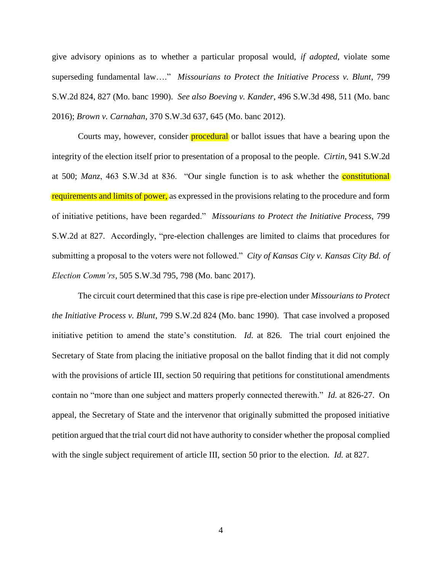give advisory opinions as to whether a particular proposal would, *if adopted*, violate some superseding fundamental law…." *Missourians to Protect the Initiative Process v. Blunt*, 799 S.W.2d 824, 827 (Mo. banc 1990). *See also Boeving v. Kander*, 496 S.W.3d 498, 511 (Mo. banc 2016); *Brown v. Carnahan*, 370 S.W.3d 637, 645 (Mo. banc 2012).

Courts may, however, consider **procedural** or ballot issues that have a bearing upon the integrity of the election itself prior to presentation of a proposal to the people. *Cirtin*, 941 S.W.2d at 500; *Manz*, 463 S.W.3d at 836. "Our single function is to ask whether the constitutional requirements and limits of power, as expressed in the provisions relating to the procedure and form of initiative petitions, have been regarded." *Missourians to Protect the Initiative Process*, 799 S.W.2d at 827. Accordingly, "pre-election challenges are limited to claims that procedures for submitting a proposal to the voters were not followed." *City of Kansas City v. Kansas City Bd. of Election Comm'rs*, 505 S.W.3d 795, 798 (Mo. banc 2017).

The circuit court determined that this case is ripe pre-election under *Missourians to Protect the Initiative Process v. Blunt*, 799 S.W.2d 824 (Mo. banc 1990). That case involved a proposed initiative petition to amend the state's constitution. *Id.* at 826. The trial court enjoined the Secretary of State from placing the initiative proposal on the ballot finding that it did not comply with the provisions of article III, section 50 requiring that petitions for constitutional amendments contain no "more than one subject and matters properly connected therewith." *Id.* at 826-27. On appeal, the Secretary of State and the intervenor that originally submitted the proposed initiative petition argued that the trial court did not have authority to consider whether the proposal complied with the single subject requirement of article III, section 50 prior to the election. *Id.* at 827.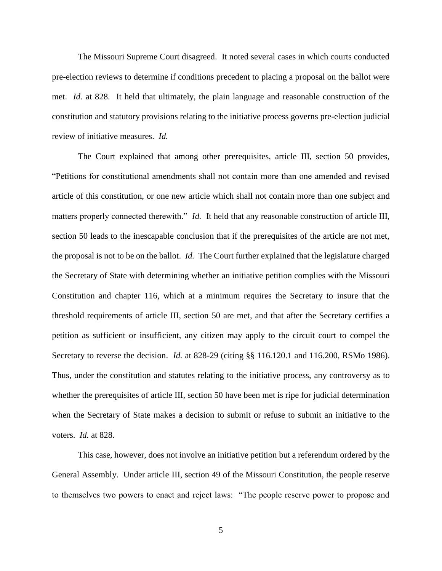The Missouri Supreme Court disagreed. It noted several cases in which courts conducted pre-election reviews to determine if conditions precedent to placing a proposal on the ballot were met. *Id.* at 828. It held that ultimately, the plain language and reasonable construction of the constitution and statutory provisions relating to the initiative process governs pre-election judicial review of initiative measures. *Id.*

The Court explained that among other prerequisites, article III, section 50 provides, "Petitions for constitutional amendments shall not contain more than one amended and revised article of this constitution, or one new article which shall not contain more than one subject and matters properly connected therewith." *Id.* It held that any reasonable construction of article III, section 50 leads to the inescapable conclusion that if the prerequisites of the article are not met, the proposal is not to be on the ballot. *Id.* The Court further explained that the legislature charged the Secretary of State with determining whether an initiative petition complies with the Missouri Constitution and chapter 116, which at a minimum requires the Secretary to insure that the threshold requirements of article III, section 50 are met, and that after the Secretary certifies a petition as sufficient or insufficient, any citizen may apply to the circuit court to compel the Secretary to reverse the decision. *Id.* at 828-29 (citing §§ 116.120.1 and 116.200, RSMo 1986). Thus, under the constitution and statutes relating to the initiative process, any controversy as to whether the prerequisites of article III, section 50 have been met is ripe for judicial determination when the Secretary of State makes a decision to submit or refuse to submit an initiative to the voters. *Id.* at 828.

This case, however, does not involve an initiative petition but a referendum ordered by the General Assembly. Under article III, section 49 of the Missouri Constitution, the people reserve to themselves two powers to enact and reject laws: "The people reserve power to propose and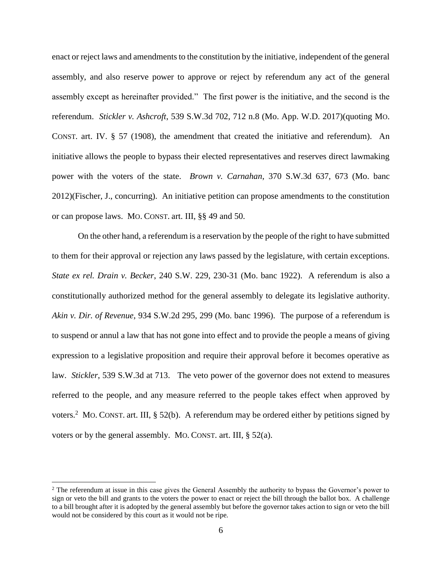enact or reject laws and amendments to the constitution by the initiative, independent of the general assembly, and also reserve power to approve or reject by referendum any act of the general assembly except as hereinafter provided." The first power is the initiative, and the second is the referendum. *Stickler v. Ashcroft*, 539 S.W.3d 702, 712 n.8 (Mo. App. W.D. 2017)(quoting MO. CONST. art. IV. § 57 (1908), the amendment that created the initiative and referendum). An initiative allows the people to bypass their elected representatives and reserves direct lawmaking power with the voters of the state. *Brown v. Carnahan*, 370 S.W.3d 637, 673 (Mo. banc 2012)(Fischer, J., concurring). An initiative petition can propose amendments to the constitution or can propose laws. MO. CONST. art. III, §§ 49 and 50.

On the other hand, a referendum is a reservation by the people of the right to have submitted to them for their approval or rejection any laws passed by the legislature, with certain exceptions. *State ex rel. Drain v. Becker*, 240 S.W. 229, 230-31 (Mo. banc 1922). A referendum is also a constitutionally authorized method for the general assembly to delegate its legislative authority. *Akin v. Dir. of Revenue*, 934 S.W.2d 295, 299 (Mo. banc 1996). The purpose of a referendum is to suspend or annul a law that has not gone into effect and to provide the people a means of giving expression to a legislative proposition and require their approval before it becomes operative as law. *Stickler*, 539 S.W.3d at 713. The veto power of the governor does not extend to measures referred to the people, and any measure referred to the people takes effect when approved by voters.<sup>2</sup> MO. CONST. art. III, § 52(b). A referendum may be ordered either by petitions signed by voters or by the general assembly. MO. CONST. art. III, § 52(a).

 $\overline{a}$ 

<sup>&</sup>lt;sup>2</sup> The referendum at issue in this case gives the General Assembly the authority to bypass the Governor's power to sign or veto the bill and grants to the voters the power to enact or reject the bill through the ballot box. A challenge to a bill brought after it is adopted by the general assembly but before the governor takes action to sign or veto the bill would not be considered by this court as it would not be ripe.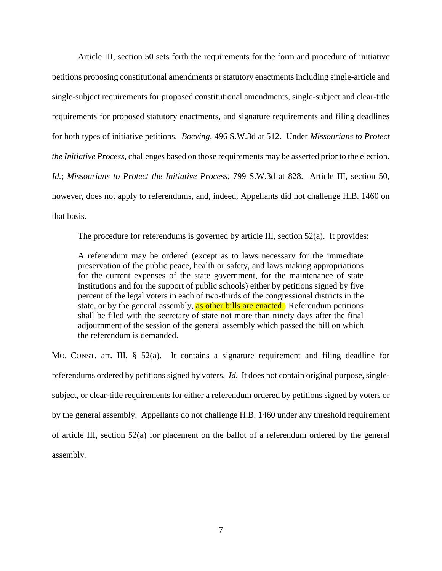Article III, section 50 sets forth the requirements for the form and procedure of initiative petitions proposing constitutional amendments or statutory enactments including single-article and single-subject requirements for proposed constitutional amendments, single-subject and clear-title requirements for proposed statutory enactments, and signature requirements and filing deadlines for both types of initiative petitions. *Boeving*, 496 S.W.3d at 512. Under *Missourians to Protect the Initiative Process*, challenges based on those requirements may be asserted prior to the election. *Id.*; *Missourians to Protect the Initiative Process*, 799 S.W.3d at 828. Article III, section 50, however, does not apply to referendums, and, indeed, Appellants did not challenge H.B. 1460 on that basis.

The procedure for referendums is governed by article III, section 52(a). It provides:

A referendum may be ordered (except as to laws necessary for the immediate preservation of the public peace, health or safety, and laws making appropriations for the current expenses of the state government, for the maintenance of state institutions and for the support of public schools) either by petitions signed by five percent of the legal voters in each of two-thirds of the congressional districts in the state, or by the general assembly, as other bills are enacted. Referendum petitions shall be filed with the secretary of state not more than ninety days after the final adjournment of the session of the general assembly which passed the bill on which the referendum is demanded.

MO. CONST. art. III, § 52(a). It contains a signature requirement and filing deadline for referendums ordered by petitions signed by voters. *Id.* It does not contain original purpose, singlesubject, or clear-title requirements for either a referendum ordered by petitions signed by voters or by the general assembly. Appellants do not challenge H.B. 1460 under any threshold requirement of article III, section 52(a) for placement on the ballot of a referendum ordered by the general assembly.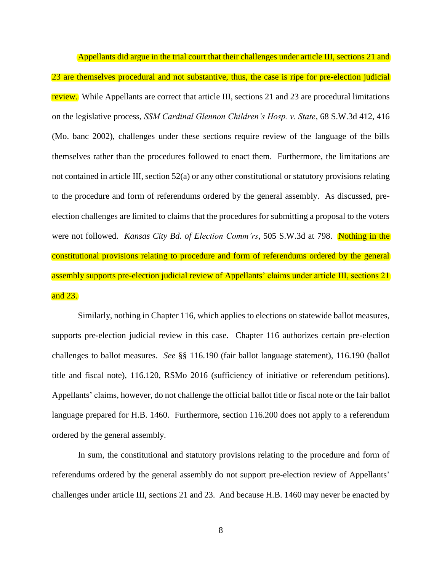Appellants did argue in the trial court that their challenges under article III, sections 21 and 23 are themselves procedural and not substantive, thus, the case is ripe for pre-election judicial review. While Appellants are correct that article III, sections 21 and 23 are procedural limitations on the legislative process, *SSM Cardinal Glennon Children's Hosp. v. State*, 68 S.W.3d 412, 416 (Mo. banc 2002), challenges under these sections require review of the language of the bills themselves rather than the procedures followed to enact them. Furthermore, the limitations are not contained in article III, section 52(a) or any other constitutional or statutory provisions relating to the procedure and form of referendums ordered by the general assembly. As discussed, preelection challenges are limited to claims that the procedures for submitting a proposal to the voters were not followed. *Kansas City Bd. of Election Comm'rs*, 505 S.W.3d at 798. Nothing in the constitutional provisions relating to procedure and form of referendums ordered by the general assembly supports pre-election judicial review of Appellants' claims under article III, sections 21 and 23.

Similarly, nothing in Chapter 116, which applies to elections on statewide ballot measures, supports pre-election judicial review in this case. Chapter 116 authorizes certain pre-election challenges to ballot measures. *See* §§ 116.190 (fair ballot language statement), 116.190 (ballot title and fiscal note), 116.120, RSMo 2016 (sufficiency of initiative or referendum petitions). Appellants' claims, however, do not challenge the official ballot title or fiscal note or the fair ballot language prepared for H.B. 1460. Furthermore, section 116.200 does not apply to a referendum ordered by the general assembly.

In sum, the constitutional and statutory provisions relating to the procedure and form of referendums ordered by the general assembly do not support pre-election review of Appellants' challenges under article III, sections 21 and 23. And because H.B. 1460 may never be enacted by